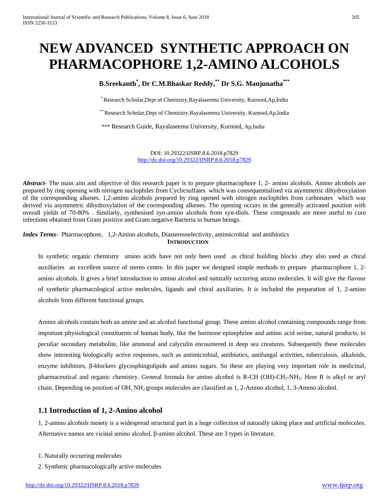# **NEW ADVANCED SYNTHETIC APPROACH ON PHARMACOPHORE 1,2-AMINO ALCOHOLS**

# **B.Sreekanth\* , Dr C.M.Bhaskar Reddy, \*\* Dr S.G. Manjunatha\*\*\***

\*Research Scholar,Dept of Chemistry,Rayalaseema University, Kurnool,Ap,India

\*\* Research Scholar,Dept of Chemistry,Rayalaseema University, Kurnool,Ap,India

\*\*\* Research Guide, Rayalaseema University, Kurnool, Ap,India

DOI: 10.29322/IJSRP.8.6.2018.p7829 <http://dx.doi.org/10.29322/IJSRP.8.6.2018.p7829>

*Abstract* The main aim and objective of this research paper is to prepare pharmacophore 1, 2- amino alcohols. Amino alcohols are prepared by ring opening with nitrogen nuclophiles from Cyclicsulfates which was consequentialised via asymmetric dihydroxylation of the corresponding alkenes. 1,2-amino alcohols prepared by ring opened with nitrogen nuclophiles from carbonates which was derived via asymmetric dihydroxylation of the corresponding alkenes. The opening occurs in the generally activated position with overall yields of 70-80% . Similarly, synthesised syn-amino alcohols from syn-diols. These compounds are more useful to cure infections obtained from Gram positive and Gram negative Bacteria in human beings.

*Index Terms*- Pharmacophore, 1,2-Amino alcohols, Diastereoselectivity, antimicrobial and antibiotics **INTRODUCTION**

In synthetic organic chemistry amino acids have not only been used as chiral building blocks ,they also used as chiral auxillaries an excellent source of stereo centre. In this paper we designed simple methods to prepare pharmacophore 1, 2 amino alcohols. It gives a brief introduction to amino alcohol and naturally occurring amino molecules. It will give the flavour of synthetic pharmacological active molecules, ligands and chiral auxiliaries. It is included the preparation of 1, 2-amino alcohols from different functional groups.

Amino alcohols contain both an amine and an alcohol functional group. These amino alcohol containing compounds range from important physiological constituents of human body, like the hormone epinephrine and amino acid serine, natural products, to peculiar secondary metabolite, like ammonal and calyculin encountered in deep sea creatures. Subsequently these molecules show interesting biologically active responses, such as antimicrobial, antibiotics, antifungal activities, tuberculosis, alkaloids, enzyme inhibitors, β-blockers glycosphingolipids and amino sugars. So these are playing very important role in medicinal, pharmaceutical and organic chemistry. General formula for amino alcohol is R-CH (OH)-CH<sub>2</sub>-NH<sub>2</sub>. Here R is alkyl or aryl chain. Depending on position of OH, NH2 groups molecules are classified as 1, 2-Amino alcohol, 1, 3-Amino alcohol.

# **1.1 Introduction of 1, 2-Amino alcohol**

1, 2-amino alcohols moiety is a widespread structural part in a huge collection of naturally taking place and artificial molecules. Alternative names are vicinal amino alcohol, β-amino alcohol. These are 3 types in literature.

- 1. Naturally occurring molecules
- 2. Synthetic pharmacologically active molecules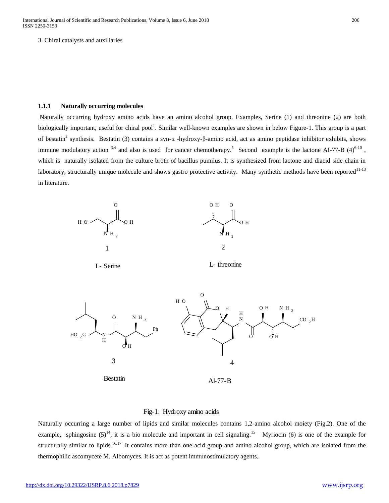3. Chiral catalysts and auxiliaries

## **1.1.1 Naturally occurring molecules**

Naturally occurring hydroxy amino acids have an amino alcohol group. Examples, Serine (1) and threonine (2) are both biologically important, useful for chiral pool<sup>1</sup>. Similar well-known examples are shown in below Figure-1. This group is a part of bestatin<sup>2</sup> synthesis. Bestatin (3) contains a syn-α -hydroxy-β-amino acid, act as amino peptidase inhibitor exhibits, shows immune modulatory action  $3,4$  and also is used for cancer chemotherapy.<sup>5</sup> Second example is the lactone AI-77-B (4)<sup>6-10</sup>, which is naturally isolated from the culture broth of bacillus pumilus. It is synthesized from lactone and diacid side chain in laboratory, structurally unique molecule and shows gastro protective activity. Many synthetic methods have been reported<sup>11-13</sup> in literature.



## Fig-1: Hydroxy amino acids

Naturally occurring a large number of lipids and similar molecules contains 1,2-amino alcohol moiety (Fig.2). One of the example, sphingosine  $(5)^{14}$ , it is a bio molecule and important in cell signaling.<sup>15</sup> Myriocin (6) is one of the example for structurally similar to lipids.<sup>16,17</sup> It contains more than one acid group and amino alcohol group, which are isolated from the thermophilic ascomycete M. Albomyces. It is act as potent immunostimulatory agents.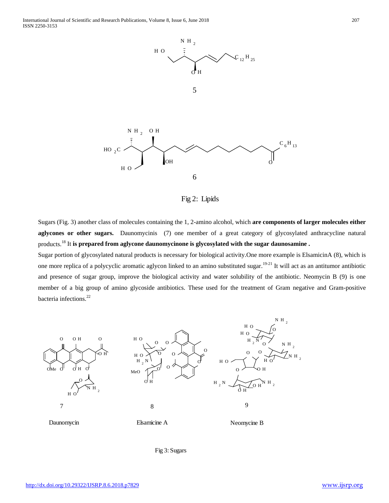

Fig 2: Lipids

Sugars (Fig. 3) another class of molecules containing the 1, 2-amino alcohol, which **are components of larger molecules either aglycones or other sugars.** Daunomycinis (7) one member of a great category of glycosylated anthracycline natural products.<sup>18</sup> It **is prepared from aglycone daunomycinone is glycosylated with the sugar daunosamine .**

Sugar portion of glycosylated natural products is necessary for biological activity.One more example is ElsamicinA (8), which is one more replica of a polycyclic aromatic aglycon linked to an amino substituted sugar.<sup>19-21</sup> It will act as an antitumor antibiotic and presence of sugar group, improve the biological activity and water solubility of the antibiotic. Neomycin B (9) is one member of a big group of amino glycoside antibiotics. These used for the treatment of Gram negative and Gram-positive bacteria infections.<sup>22</sup>



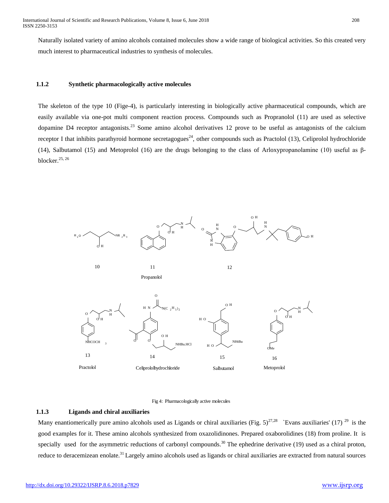Naturally isolated variety of amino alcohols contained molecules show a wide range of biological activities. So this created very much interest to pharmaceutical industries to synthesis of molecules.

## **1.1.2 Synthetic pharmacologically active molecules**

The skeleton of the type 10 (Fige-4), is particularly interesting in biologically active pharmaceutical compounds, which are easily available via one-pot multi component reaction process. Compounds such as Propranolol (11) are used as selective dopamine D4 receptor antagonists.<sup>23</sup> Some amino alcohol derivatives 12 prove to be useful as antagonists of the calcium receptor I that inhibits parathyroid hormone secretagogues<sup>24</sup>, other compounds such as Practolol (13), Celiprolol hydrochloride (14), Salbutamol (15) and Metoprolol (16) are the drugs belonging to the class of Arloxypropanolamine (10) useful as βblocker.25, 26



Fig 4: Pharmacologically active molecules

#### **1.1.3 Ligands and chiral auxiliaries**

Many enantiomerically pure amino alcohols used as Ligands or chiral auxiliaries (Fig.  $5)^{27,28}$  `Evans auxiliaries' (17) <sup>29</sup> is the good examples for it. These amino alcohols synthesized from oxazolidinones. Prepared oxaborolidines (18) from proline. It is specially used for the asymmetric reductions of carbonyl compounds.<sup>30</sup> The ephedrine derivative (19) used as a chiral proton, reduce to deracemizean enolate.<sup>31</sup> Largely amino alcohols used as ligands or chiral auxiliaries are extracted from natural sources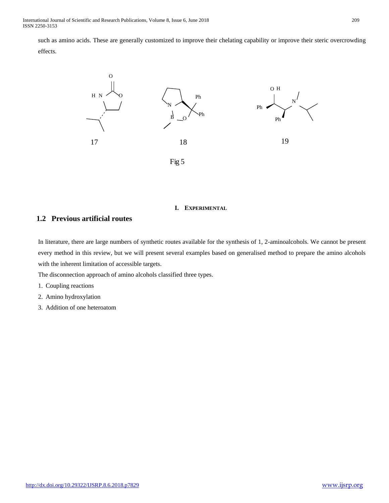such as amino acids. These are generally customized to improve their chelating capability or improve their steric overcrowding effects.



#### **I. EXPERIMENTAL**

# **1.2 Previous artificial routes**

In literature, there are large numbers of synthetic routes available for the synthesis of 1, 2-aminoalcohols. We cannot be present every method in this review, but we will present several examples based on generalised method to prepare the amino alcohols with the inherent limitation of accessible targets.

The disconnection approach of amino alcohols classified three types.

- 1. Coupling reactions
- 2. Amino hydroxylation
- 3. Addition of one heteroatom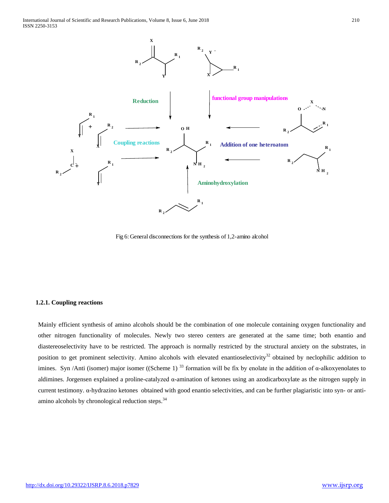

Fig 6: General disconnections for the synthesis of 1,2-amino alcohol

#### **1.2.1. Coupling reactions**

Mainly efficient synthesis of amino alcohols should be the combination of one molecule containing oxygen functionality and other nitrogen functionality of molecules. Newly two stereo centers are generated at the same time; both enantio and diastereoselectivity have to be restricted. The approach is normally restricted by the structural anxiety on the substrates, in position to get prominent selectivity. Amino alcohols with elevated enantioselectivity<sup>32</sup> obtained by neclophilic addition to imines. Syn /Anti (isomer) major isomer ((Scheme 1)<sup>33</sup> formation will be fix by enolate in the addition of  $\alpha$ -alkoxyenolates to aldimines. Jorgensen explained a proline-catalyzed  $\alpha$ -amination of ketones using an azodicarboxylate as the nitrogen supply in current testimony. α-hydrazino ketones obtained with good enantio selectivities, and can be further plagiaristic into syn- or antiamino alcohols by chronological reduction steps.<sup>34</sup>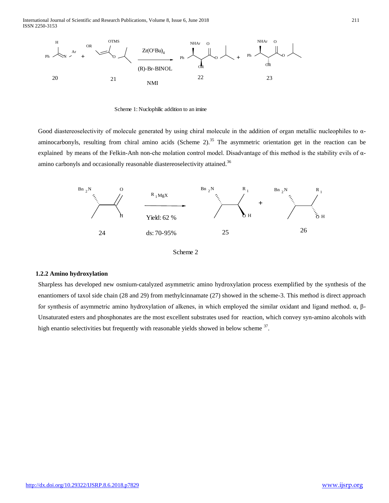International Journal of Scientific and Research Publications, Volume 8, Issue 6, June 2018 211 ISSN 2250-3153



Scheme 1: Nuclophilic addition to an imine

Good diastereoselectivity of molecule generated by using chiral molecule in the addition of organ metallic nucleophiles to αaminocarbonyls, resulting from chiral amino acids (Scheme 2).<sup>35</sup> The asymmetric orientation get in the reaction can be explained by means of the Felkin-Anh non-che molation control model. Disadvantage of this method is the stability evils of αamino carbonyls and occasionally reasonable diastereoselectivity attained.<sup>36</sup>





#### **1.2.2 Amino hydroxylation**

Sharpless has developed new osmium-catalyzed asymmetric amino hydroxylation process exemplified by the synthesis of the enantiomers of taxol side chain (28 and 29) from methylcinnamate (27) showed in the scheme-3. This method is direct approach for synthesis of asymmetric amino hydroxylation of alkenes, in which employed the similar oxidant and ligand method. α, β-Unsaturated esters and phosphonates are the most excellent substrates used for reaction, which convey syn-amino alcohols with high enantio selectivities but frequently with reasonable yields showed in below scheme <sup>37</sup>.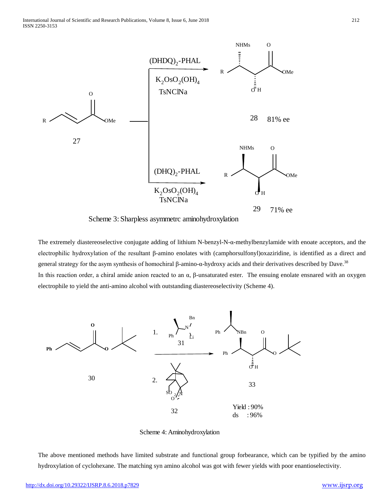

Scheme 3: Sharpless asymmetrc aminohydroxylation

The extremely diastereoselective conjugate adding of lithium N-benzyl-N-α-methylbenzylamide with enoate acceptors, and the electrophilic hydroxylation of the resultant β-amino enolates with (camphorsulfonyl)oxaziridine, is identified as a direct and general strategy for the asym synthesis of homochiral β-amino-α-hydroxy acids and their derivatives described by Dave.<sup>38</sup> In this reaction order, a chiral amide anion reacted to an  $\alpha$ , β-unsaturated ester. The ensuing enolate ensnared with an oxygen electrophile to yield the anti-amino alcohol with outstanding diastereoselectivity (Scheme 4).



Scheme 4: Aminohydroxylation

The above mentioned methods have limited substrate and functional group forbearance, which can be typified by the amino hydroxylation of cyclohexane. The matching syn amino alcohol was got with fewer yields with poor enantioselectivity.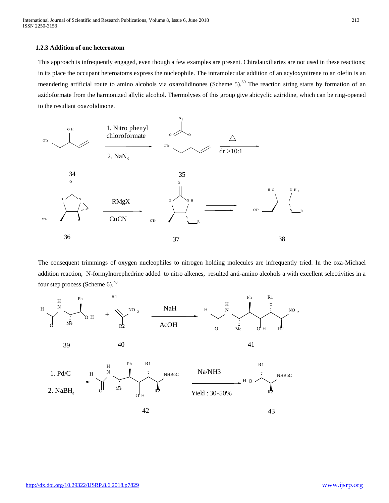## **1.2.3 Addition of one heteroatom**

This approach is infrequently engaged, even though a few examples are present. Chiralauxiliaries are not used in these reactions; in its place the occupant heteroatoms express the nucleophile. The intramolecular addition of an acyloxynitrene to an olefin is an meandering artificial route to amino alcohols via oxazolidinones (Scheme 5).<sup>39</sup> The reaction string starts by formation of an azidoformate from the harmonized allylic alcohol. Thermolyses of this group give abicyclic aziridine, which can be ring-opened to the resultant oxazolidinone.



The consequent trimmings of oxygen nucleophiles to nitrogen holding molecules are infrequently tried. In the oxa-Michael addition reaction, N-formylnorephedrine added to nitro alkenes, resulted anti-amino alcohols a with excellent selectivities in a four step process (Scheme  $6$ ).<sup>40</sup>

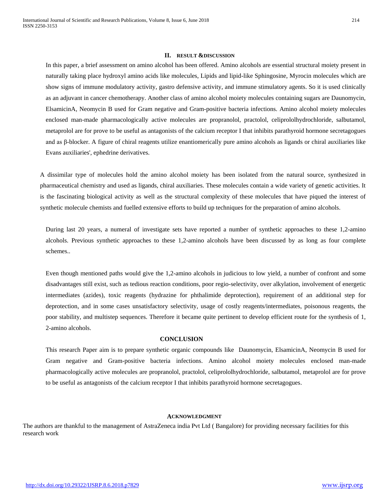#### **II. RESULT &DISCUSSION**

In this paper, a brief assessment on amino alcohol has been offered. Amino alcohols are essential structural moiety present in naturally taking place hydroxyl amino acids like molecules, Lipids and lipid-like Sphingosine, Myrocin molecules which are show signs of immune modulatory activity, gastro defensive activity, and immune stimulatory agents. So it is used clinically as an adjuvant in cancer chemotherapy. Another class of amino alcohol moiety molecules containing sugars are Daunomycin, ElsamicinA, Neomycin B used for Gram negative and Gram-positive bacteria infections. Amino alcohol moiety molecules enclosed man-made pharmacologically active molecules are propranolol, practolol, celiprololhydrochloride, salbutamol, metaprolol are for prove to be useful as antagonists of the calcium receptor I that inhibits parathyroid hormone secretagogues and as β-blocker. A figure of chiral reagents utilize enantiomerically pure amino alcohols as ligands or chiral auxiliaries like Evans auxiliaries', ephedrine derivatives.

A dissimilar type of molecules hold the amino alcohol moiety has been isolated from the natural source, synthesized in pharmaceutical chemistry and used as ligands, chiral auxiliaries. These molecules contain a wide variety of genetic activities. It is the fascinating biological activity as well as the structural complexity of these molecules that have piqued the interest of synthetic molecule chemists and fuelled extensive efforts to build up techniques for the preparation of amino alcohols.

During last 20 years, a numeral of investigate sets have reported a number of synthetic approaches to these 1,2-amino alcohols. Previous synthetic approaches to these 1,2-amino alcohols have been discussed by as long as four complete schemes..

Even though mentioned paths would give the 1,2-amino alcohols in judicious to low yield, a number of confront and some disadvantages still exist, such as tedious reaction conditions, poor regio-selectivity, over alkylation, involvement of energetic intermediates (azides), toxic reagents (hydrazine for phthalimide deprotection), requirement of an additional step for deprotection, and in some cases unsatisfactory selectivity, usage of costly reagents/intermediates, poisonous reagents, the poor stability, and multistep sequences. Therefore it became quite pertinent to develop efficient route for the synthesis of 1, 2-amino alcohols.

#### **CONCLUSION**

This research Paper aim is to prepare synthetic organic compounds like Daunomycin, ElsamicinA, Neomycin B used for Gram negative and Gram-positive bacteria infections. Amino alcohol moiety molecules enclosed man-made pharmacologically active molecules are propranolol, practolol, celiprololhydrochloride, salbutamol, metaprolol are for prove to be useful as antagonists of the calcium receptor I that inhibits parathyroid hormone secretagogues.

#### **ACKNOWLEDGMENT**

The authors are thankful to the management of AstraZeneca india Pvt Ltd ( Bangalore) for providing necessary facilities for this research work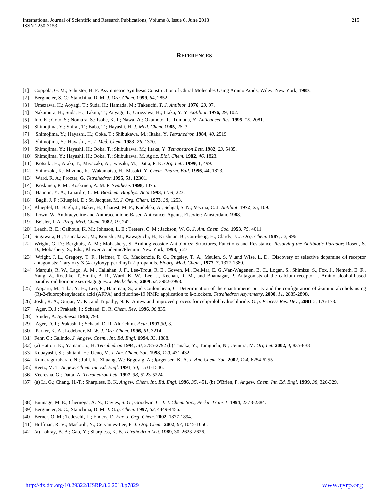#### **REFERENCES**

- [1] Coppola, G. M.; Schuster, H. F. Asymmetric Synthesis.Construction of Chiral Molecules Using Amino Acids, Wiley: New York, **1987.**
- [2] Bergmeier, S. C.; Stanchina, D. M. *J. Org. Chem.* **1999**, *64*, 2852.
- [3] Umezawa, H.; Aoyagi, T.; Suda, H.; Hamada, M.; Takeuchi, *T. J. Antibiot*. **1976**, *29*, 97.
- [4] Nakamura, H.; Suda, H.; Takita, T.; Auyagi, T.; Umezawa, H.; Iitaka, Y. Y. *Antibiot*. **1976,** 29, 102.
- [5] Ino, K.; Goto, S.; Nomura, S.; Isobe, K.-I.; Nawa, A.; Okamoto, T.; Tomoda, Y. *Anticancer Res.* **1995**, *15*, 2081.
- [6] Shimojima, Y.; Shirai, T.; Baba, T.; Hayashi, H. *J. Med. Chem*. **1985**, *28*, 3.
- [7] Shimojima, Y.; Hayashi, H.; Ooka, T.; Shibukawa, M.; Iitaka, Y. *Tetrahedron* **1984**, *40,* 2519.
- [8] Shimojima, Y.; Hayashi, H. *J. Med. Chem.* **1983**, *26,* 1370.
- [9] Shimojima, Y.; Hayashi, H.; Ooka, T.; Shibukawa, M.; Iitaka, Y. *Tetrahedron Lett*. **1982**, *23*, 5435.
- [10] Shimojima, Y.; Hayashi, H.; Ooka, T.; Shibukawa, M. Agric. *Biol. Chem*. **1982**, *46*, 1823.
- [11] Kotsuki, H.; Araki, T.; Miyazaki, A.; Iwasaki, M.; Datta, P. K. *Org. Lett*. **1999**, 1, 499.
- [12] Shinozaki, K.; Mizuno, K.; Wakamatsu, H.; Masaki, Y. *Chem. Pharm. Bull*. **1996**, 44, 1823.
- [13] Ward, R. A.; Procter, G. *Tetrahedron* **1995**, *51*, 12301.
- [14] Koskinen, P. M.; Koskinen, A. M. P. *Synthesis* **1998,** 1075.
- [15] Hannun, Y. A.; Linardic, C. M. *Biochem. Biophys. Acta* **1993**, *1154*, 223.
- [16] Bagii, J. F.; Kluepfel, D.; St. Jacques, M. *J. Org. Chem*. **1973**, *38*, 1253.
- [17] Kluepfel, D.; Bagli, J.; Baker, H.; Charest, M. P.; Kudelski, A.; Sehgal, S. N.; Vezina, C. J. *Antibiot*. **1972**, *25*, 109.
- [18] Lown, W. Anthracycline and Anthracendione-Based Anticancer Agents, Elsevier: Amsterdam, **1988**.
- [19] Beisler, J. A. *Prog. Med. Chem.* **1982**, *19*, 242.
- [20] Leach, B. E.; Calhoun, K. M.; Johnson, L. E.; Teeters, C. M.; Jackson, W. G. *J. Am. Chem. Soc.* **1953,** *75,* 4011.
- [21] Sugawara, H.; Tsunakawa, M.; Konishi, M.; Kawaguchi, H.; Krishnan, B.; Cun-heng, H.; Clardy, J. *J. Org. Chem.* **1987**, *52,* 996.
- [22] Wright, G. D.; Berghuis, A. M.; Mobashery, S. Aminoglycoside Antibiotics: Structures, Functions and Resistance. *Resolving the Antibiotic Paradox*; Rosen, S. D., Mobashery, S., Eds.; Kluwer Academic/Plenum: New York, **1998**, p 27
- [23] Wright, J. L., Gregory, T. F., Heffner, T. G., Mackenzie, R. G., Pugsley, T. A., Meulen, S. V.,and Wise, L. D. Discovery of selective dopamine d4 receptor antagonists: 1-aryloxy-3-(4-aryloxypiperidinyl)-2-propanols. *Bioorg. Med. Chem.,* **1977**, *7*, 1377-1380.
- [24] Marquis, R. W., Lago, A. M., Callahan, J. F., Lee-Trout, R. E., Gowen, M., DelMar, E. G., Van-Wagenen, B. C., Logan, S., Shimizu, S., Fox, J., Nemeth, E. F., Yang, Z., Roethke, T.,Smith, B. R., Ward, K. W., Lee, J., Keenan, R. M., and Bhatnagar, P. Antagonists of the calcium receptor I. Amino alcohol-based parathyroid hormone secretagogues. *J. Med.Chem*., **2009** *52*, 3982-3993.
- [25] Apparu, M., Tiba, Y. B., Leo, P., Hamman, S., and Coulombeau, C. Determination of the enantiomeric purity and the configuration of â-amino alcohols using (R)-2-fluorophenylacetic acid (AFPA) and fluorine-19 NMR: application to â-blockers. *Tetrahedron Asymmetry*, **2000**, *11*, 2885-2898.
- [26] Joshi, R. A., Gurjar, M. K., and Tripathy, N. K. A new and improved process for celiprolol hydrochloride. *Org. Process Res. Dev.,* **2001** *5*, 176-178.
- [27] Ager, D. J.; Prakash, I.; Schaad, D. R. *Chem. Rev*. **1996**, *96*,835.
- [28] Studer, A. *Synthesis* **1996**, 793.
- [29] Ager, D. J.; Prakash, I.; Schaad, D. R. Aldrichim. *Acta* ,**1997**,*30*, 3.
- [30] Parker, K. A.; Ledeboer, M. *W. J. Org. Chem.* **1996,** *61*, 3214.
- [31] Fehr, C.; Galindo, *J. Angew. Chem., Int. Ed. Engl*. **1994**, *33*, 1888.
- [32] (a) Hattori, K.; Yamamoto, H. *Tetrahedron* **1994**, *50*, 2785-2792 (b) Tanaka, Y.; Taniguchi, N.; Uemura, M. *Org.Lett* **2002,** *4***,** 835-838
- [33] Kobayashi, S.; Ishitani, H.; Ueno, M. *J. Am. Chem. Soc.* **1998**, *120*, 431-432.
- [34] Kumaragurubaran, N.; Juhl, K.; Zhuang, W.; Bøgevig, A.; Jørgensen, K. A. *J. Am. Chem. Soc.* **2002**, *124*, 6254-6255
- [35] Reetz, M. T. *Angew. Chem. Int. Ed. Engl.* **1991**, *30*, 1531-1546.
- [36] Veeresha, G.; Datta, A. *Tetrahedron Lett.* **1997**, *38*, 5223-5224.
- [37] (a) Li, G.; Chang, H.-T.; Sharpless, B. K. *Angew. Chem. Int. Ed. Engl*. **1996**, *35*, 451. (b) O'Brien, P. *Angew. Chem. Int. Ed. Engl*. **1999**, *38*, 326-329.
- [38] Bunnage, M. E.; Chernega, A. N.; Davies, S. G.; Goodwin, C. *J. J. Chem. Soc., Perkin Trans 1.* **1994**, 2373-2384.
- [39] Bergmeier, S. C.; Stanchina, D. M. *J. Org. Chem.* **1997**, *62*, 4449-4456.
- [40] Berner, O. M.; Tedeschi, L.; Enders, D. *Eur. J. Org. Chem.* **2002**, 1877-1894.
- [41] Hoffman, R. V.; Maslouh, N.; Cervantes-Lee, F. *J. Org. Chem.* **2002**, *67*, 1045-1056.
- [42] (a) Lohray, B. B.; Gao, Y.; Sharpless, K. B. *Tetrahedron Lett*. **1989**, 30, 2623-2626.